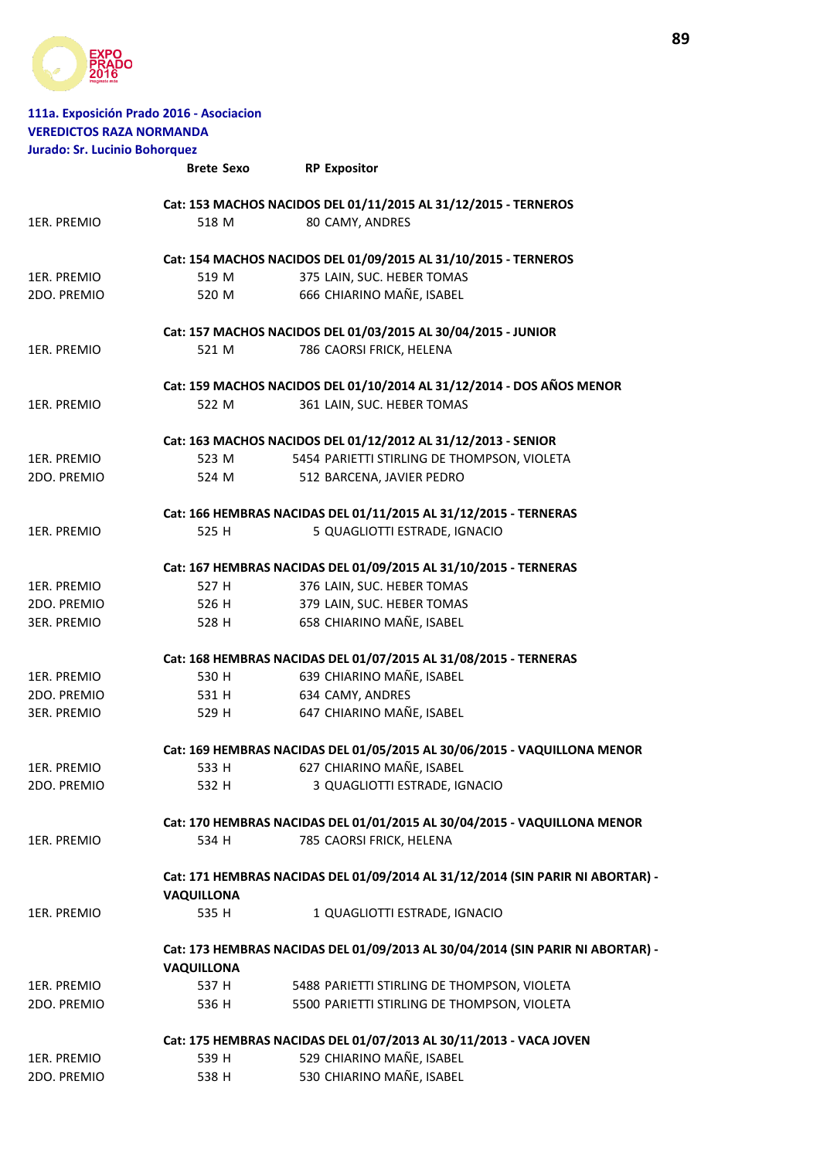

| <b>VEREDICTOS RAZA NORMANDA</b><br><b>Jurado: Sr. Lucinio Bohorquez</b> | 111a. Exposición Prado 2016 - Asociacion |                                                                                |
|-------------------------------------------------------------------------|------------------------------------------|--------------------------------------------------------------------------------|
|                                                                         | <b>Brete Sexo</b>                        | <b>RP Expositor</b>                                                            |
|                                                                         |                                          |                                                                                |
|                                                                         |                                          | Cat: 153 MACHOS NACIDOS DEL 01/11/2015 AL 31/12/2015 - TERNEROS                |
| 1ER. PREMIO                                                             | 518 M                                    | 80 CAMY, ANDRES                                                                |
|                                                                         |                                          | Cat: 154 MACHOS NACIDOS DEL 01/09/2015 AL 31/10/2015 - TERNEROS                |
| 1ER. PREMIO                                                             | 519 M                                    | 375 LAIN, SUC. HEBER TOMAS                                                     |
| 2DO. PREMIO                                                             | 520 M                                    | 666 CHIARINO MAÑE, ISABEL                                                      |
|                                                                         |                                          |                                                                                |
|                                                                         |                                          | Cat: 157 MACHOS NACIDOS DEL 01/03/2015 AL 30/04/2015 - JUNIOR                  |
| 1ER. PREMIO                                                             | 521 M                                    | 786 CAORSI FRICK, HELENA                                                       |
|                                                                         |                                          | Cat: 159 MACHOS NACIDOS DEL 01/10/2014 AL 31/12/2014 - DOS AÑOS MENOR          |
| 1ER. PREMIO                                                             | 522 M                                    | 361 LAIN, SUC. HEBER TOMAS                                                     |
|                                                                         |                                          | Cat: 163 MACHOS NACIDOS DEL 01/12/2012 AL 31/12/2013 - SENIOR                  |
| 1ER. PREMIO                                                             | 523 M                                    | 5454 PARIETTI STIRLING DE THOMPSON, VIOLETA                                    |
| 2DO. PREMIO                                                             | 524 M                                    | 512 BARCENA, JAVIER PEDRO                                                      |
|                                                                         |                                          |                                                                                |
|                                                                         |                                          | Cat: 166 HEMBRAS NACIDAS DEL 01/11/2015 AL 31/12/2015 - TERNERAS               |
| 1ER. PREMIO                                                             | 525 H                                    | 5 QUAGLIOTTI ESTRADE, IGNACIO                                                  |
|                                                                         |                                          | Cat: 167 HEMBRAS NACIDAS DEL 01/09/2015 AL 31/10/2015 - TERNERAS               |
| 1ER. PREMIO                                                             | 527 H                                    | 376 LAIN, SUC. HEBER TOMAS                                                     |
| 2DO. PREMIO                                                             | 526 H                                    | 379 LAIN, SUC. HEBER TOMAS                                                     |
| 3ER. PREMIO                                                             | 528 H                                    | 658 CHIARINO MAÑE, ISABEL                                                      |
|                                                                         |                                          | Cat: 168 HEMBRAS NACIDAS DEL 01/07/2015 AL 31/08/2015 - TERNERAS               |
| 1ER. PREMIO                                                             | 530 H                                    | 639 CHIARINO MAÑE, ISABEL                                                      |
| 2DO. PREMIO                                                             | 531 H                                    | 634 CAMY, ANDRES                                                               |
| <b>3ER. PREMIO</b>                                                      | 529 H                                    | 647 CHIARINO MAÑE, ISABEL                                                      |
|                                                                         |                                          | Cat: 169 HEMBRAS NACIDAS DEL 01/05/2015 AL 30/06/2015 - VAQUILLONA MENOR       |
| 1ER. PREMIO                                                             | 533 H                                    | 627 CHIARINO MAÑE, ISABEL                                                      |
| 2DO. PREMIO                                                             | 532 H                                    | 3 QUAGLIOTTI ESTRADE, IGNACIO                                                  |
|                                                                         |                                          |                                                                                |
|                                                                         |                                          | Cat: 170 HEMBRAS NACIDAS DEL 01/01/2015 AL 30/04/2015 - VAQUILLONA MENOR       |
| 1ER. PREMIO                                                             | 534 H                                    | 785 CAORSI FRICK, HELENA                                                       |
|                                                                         |                                          | Cat: 171 HEMBRAS NACIDAS DEL 01/09/2014 AL 31/12/2014 (SIN PARIR NI ABORTAR) - |
|                                                                         | <b>VAQUILLONA</b>                        |                                                                                |
| 1ER. PREMIO                                                             | 535 H                                    | 1 QUAGLIOTTI ESTRADE, IGNACIO                                                  |
|                                                                         |                                          | Cat: 173 HEMBRAS NACIDAS DEL 01/09/2013 AL 30/04/2014 (SIN PARIR NI ABORTAR) - |
|                                                                         | <b>VAQUILLONA</b>                        |                                                                                |
| 1ER. PREMIO                                                             | 537 H                                    | 5488 PARIETTI STIRLING DE THOMPSON, VIOLETA                                    |
| 2DO. PREMIO                                                             | 536 H                                    | 5500 PARIETTI STIRLING DE THOMPSON, VIOLETA                                    |
|                                                                         |                                          | Cat: 175 HEMBRAS NACIDAS DEL 01/07/2013 AL 30/11/2013 - VACA JOVEN             |
| 1ER. PREMIO                                                             | 539 H                                    | 529 CHIARINO MAÑE, ISABEL                                                      |
| 2DO. PREMIO                                                             | 538 H                                    | 530 CHIARINO MAÑE, ISABEL                                                      |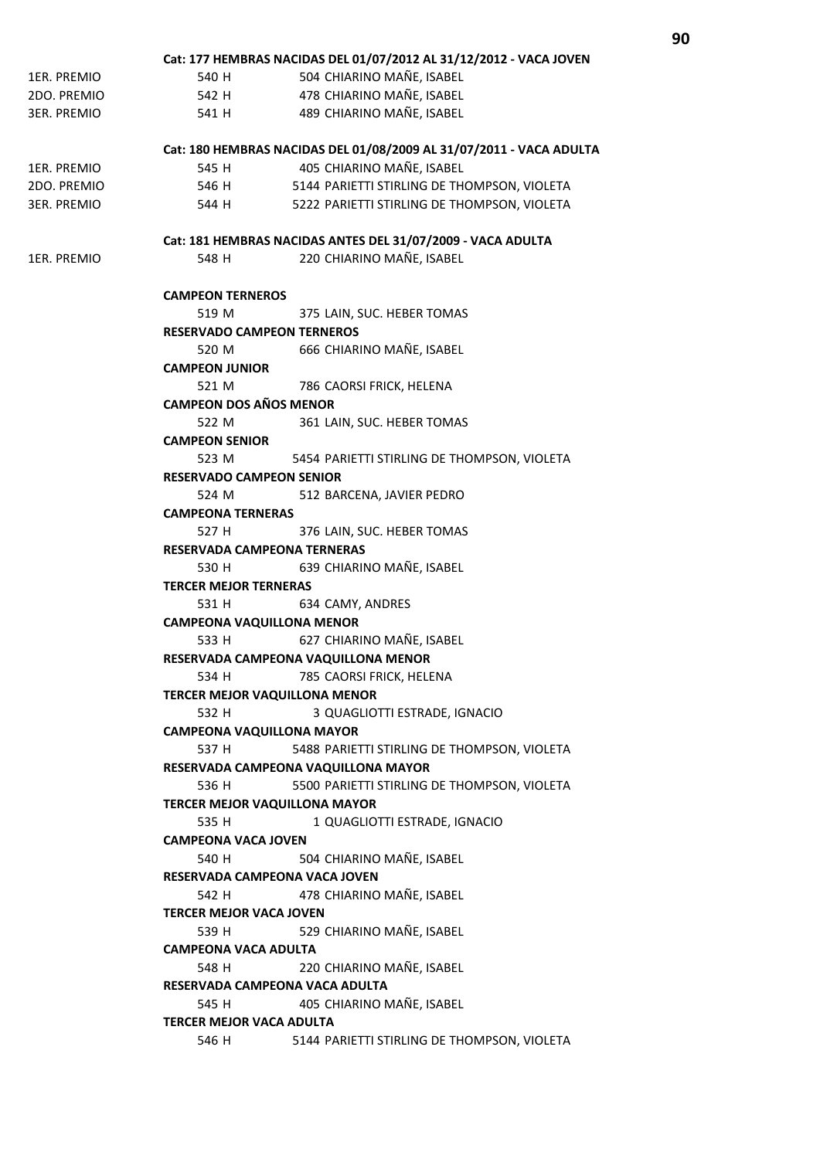|                    | Cat: 177 HEMBRAS NACIDAS DEL 01/07/2012 AL 31/12/2012 - VACA JOVEN  |  |  |  |
|--------------------|---------------------------------------------------------------------|--|--|--|
| 1ER. PREMIO        | 504 CHIARINO MAÑE, ISABEL<br>540 H                                  |  |  |  |
| 2DO. PREMIO        | 478 CHIARINO MAÑE, ISABEL<br>542 H                                  |  |  |  |
| <b>3ER. PREMIO</b> | 489 CHIARINO MAÑE, ISABEL<br>541 H                                  |  |  |  |
|                    |                                                                     |  |  |  |
|                    | Cat: 180 HEMBRAS NACIDAS DEL 01/08/2009 AL 31/07/2011 - VACA ADULTA |  |  |  |
| 1ER. PREMIO        | 405 CHIARINO MAÑE, ISABEL<br>545 H                                  |  |  |  |
| 2DO. PREMIO        | 5144 PARIETTI STIRLING DE THOMPSON, VIOLETA<br>546 H                |  |  |  |
| <b>3ER. PREMIO</b> | 544 H<br>5222 PARIETTI STIRLING DE THOMPSON, VIOLETA                |  |  |  |
|                    |                                                                     |  |  |  |
|                    | Cat: 181 HEMBRAS NACIDAS ANTES DEL 31/07/2009 - VACA ADULTA         |  |  |  |
| 1ER. PREMIO        | 220 CHIARINO MAÑE, ISABEL<br>548 H                                  |  |  |  |
|                    |                                                                     |  |  |  |
|                    | <b>CAMPEON TERNEROS</b>                                             |  |  |  |
|                    | 519 M<br>375 LAIN, SUC. HEBER TOMAS                                 |  |  |  |
|                    | <b>RESERVADO CAMPEON TERNEROS</b>                                   |  |  |  |
|                    | 666 CHIARINO MAÑE, ISABEL<br>520 M                                  |  |  |  |
|                    | <b>CAMPEON JUNIOR</b>                                               |  |  |  |
|                    | 521 M<br>786 CAORSI FRICK, HELENA                                   |  |  |  |
|                    | <b>CAMPEON DOS AÑOS MENOR</b>                                       |  |  |  |
|                    | 361 LAIN, SUC. HEBER TOMAS<br>522 M                                 |  |  |  |
|                    | <b>CAMPEON SENIOR</b>                                               |  |  |  |
|                    | 523 M<br>5454 PARIETTI STIRLING DE THOMPSON, VIOLETA                |  |  |  |
|                    | <b>RESERVADO CAMPEON SENIOR</b>                                     |  |  |  |
|                    | 512 BARCENA, JAVIER PEDRO<br>524 M                                  |  |  |  |
|                    | <b>CAMPEONA TERNERAS</b>                                            |  |  |  |
|                    | 376 LAIN, SUC. HEBER TOMAS<br>527 H                                 |  |  |  |
|                    | RESERVADA CAMPEONA TERNERAS                                         |  |  |  |
|                    | 639 CHIARINO MAÑE, ISABEL<br>530 H                                  |  |  |  |
|                    | <b>TERCER MEJOR TERNERAS</b>                                        |  |  |  |
|                    | 634 CAMY, ANDRES<br>531 H                                           |  |  |  |
|                    |                                                                     |  |  |  |
|                    | <b>CAMPEONA VAQUILLONA MENOR</b>                                    |  |  |  |
|                    | 627 CHIARINO MAÑE, ISABEL<br>533 H                                  |  |  |  |
|                    | RESERVADA CAMPEONA VAQUILLONA MENOR                                 |  |  |  |
|                    | 534 H<br>785 CAORSI FRICK, HELENA                                   |  |  |  |
|                    | <b>TERCER MEJOR VAQUILLONA MENOR</b>                                |  |  |  |
|                    | 532 H<br>3 QUAGLIOTTI ESTRADE, IGNACIO                              |  |  |  |
|                    | <b>CAMPEONA VAQUILLONA MAYOR</b>                                    |  |  |  |
|                    | 537 H<br>5488 PARIETTI STIRLING DE THOMPSON, VIOLETA                |  |  |  |
|                    | RESERVADA CAMPEONA VAQUILLONA MAYOR                                 |  |  |  |
|                    | 536 H<br>5500 PARIETTI STIRLING DE THOMPSON, VIOLETA                |  |  |  |
|                    | <b>TERCER MEJOR VAQUILLONA MAYOR</b>                                |  |  |  |
|                    | 1 QUAGLIOTTI ESTRADE, IGNACIO<br>535 H                              |  |  |  |
|                    | <b>CAMPEONA VACA JOVEN</b>                                          |  |  |  |
|                    | 504 CHIARINO MAÑE, ISABEL<br>540 H                                  |  |  |  |
|                    | RESERVADA CAMPEONA VACA JOVEN                                       |  |  |  |
|                    | 478 CHIARINO MAÑE, ISABEL<br>542 H                                  |  |  |  |
|                    | <b>TERCER MEJOR VACA JOVEN</b>                                      |  |  |  |
|                    | 529 CHIARINO MAÑE, ISABEL<br>539 H                                  |  |  |  |
|                    | <b>CAMPEONA VACA ADULTA</b>                                         |  |  |  |
|                    | 220 CHIARINO MAÑE, ISABEL<br>548 H                                  |  |  |  |
|                    | RESERVADA CAMPEONA VACA ADULTA                                      |  |  |  |
|                    | 405 CHIARINO MAÑE, ISABEL<br>545 H                                  |  |  |  |
|                    | <b>TERCER MEJOR VACA ADULTA</b>                                     |  |  |  |
|                    | 546 H<br>5144 PARIETTI STIRLING DE THOMPSON, VIOLETA                |  |  |  |
|                    |                                                                     |  |  |  |
|                    |                                                                     |  |  |  |

**90**